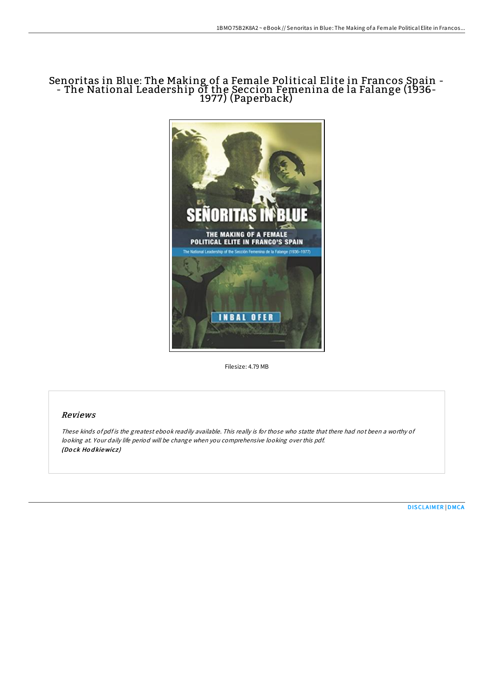# Senoritas in Blue: The Making of a Female Political Elite in Francos Spain - - The National Leadership of the Seccion Femenina de la Falange (1936- 1977) (Paperback)



Filesize: 4.79 MB

# Reviews

These kinds of pdf is the greatest ebook readily available. This really is for those who statte that there had not been <sup>a</sup> worthy of looking at. Your daily life period will be change when you comprehensive looking over this pdf. (Do ck Ho d kiewicz )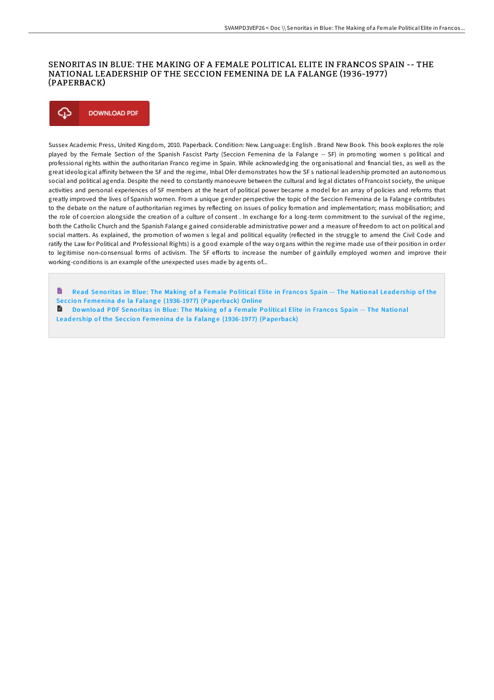### SENORITAS IN BLUE: THE MAKING OF A FEMALE POLITICAL ELITE IN FRANCOS SPAIN -- THE NATIONAL LEADERSHIP OF THE SECCION FEMENINA DE LA FALANGE (1936-1977) (PAPERBACK)



Sussex Academic Press, United Kingdom, 2010. Paperback. Condition: New. Language: English . Brand New Book. This book explores the role played by the Female Section of the Spanish Fascist Party (Seccion Femenina de la Falange -- SF) in promoting women s political and professional rights within the authoritarian Franco regime in Spain. While acknowledging the organisational and financial ties, as well as the great ideological affinity between the SF and the regime, Inbal Ofer demonstrates how the SF s national leadership promoted an autonomous social and political agenda. Despite the need to constantly manoeuvre between the cultural and legal dictates of Francoist society, the unique activities and personal experiences of SF members at the heart of political power became a model for an array of policies and reforms that greatly improved the lives of Spanish women. From a unique gender perspective the topic of the Seccion Femenina de la Falange contributes to the debate on the nature of authoritarian regimes by reflecting on issues of policy formation and implementation; mass mobilisation; and the role of coercion alongside the creation of a culture of consent . In exchange for a long-term commitment to the survival of the regime, both the Catholic Church and the Spanish Falange gained considerable administrative power and a measure of freedom to act on political and social matters. As explained, the promotion of women s legal and political equality (reflected in the struggle to amend the Civil Code and ratify the Law for Political and Professional Rights) is a good example of the way organs within the regime made use of their position in order to legitimise non-consensual forms of activism. The SF efforts to increase the number of gainfully employed women and improve their working-conditions is an example of the unexpected uses made by agents of...

h Read Senoritas in Blue: The Making of a Female Political Elite in Francos Spain -- The National Leadership of the Seccion Femenina de la Falange [\(1936-1977\)](http://almighty24.tech/senoritas-in-blue-the-making-of-a-female-politic.html) (Paperback) Online

**B** Download PDF Senoritas in Blue: The Making of a Female Political Elite in Francos Spain -- The National Leadership of the Seccion Femenina de la Falange [\(1936-1977\)](http://almighty24.tech/senoritas-in-blue-the-making-of-a-female-politic.html) (Paperback)